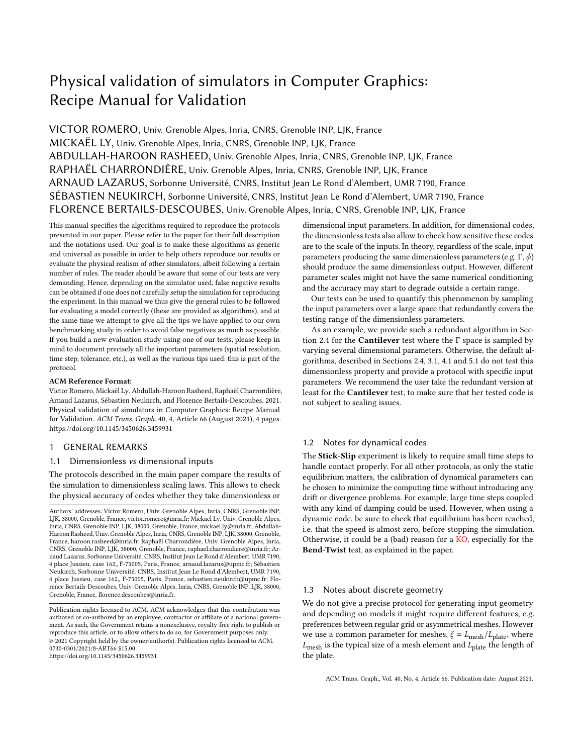# Physical validation of simulators in Computer Graphics: Recipe Manual for Validation

VICTOR ROMERO, Univ. Grenoble Alpes, Inria, CNRS, Grenoble INP, LJK, France MICKAËL LY, Univ. Grenoble Alpes, Inria, CNRS, Grenoble INP, LJK, France ABDULLAH-HAROON RASHEED, Univ. Grenoble Alpes, Inria, CNRS, Grenoble INP, LJK, France RAPHAËL CHARRONDIÈRE, Univ. Grenoble Alpes, Inria, CNRS, Grenoble INP, LJK, France ARNAUD LAZARUS, Sorbonne Université, CNRS, Institut Jean Le Rond d'Alembert, UMR 7190, France SÉBASTIEN NEUKIRCH, Sorbonne Université, CNRS, Institut Jean Le Rond d'Alembert, UMR 7190, France FLORENCE BERTAILS-DESCOUBES, Univ. Grenoble Alpes, Inria, CNRS, Grenoble INP, LJK, France

This manual specifies the algorithms required to reproduce the protocols presented in our paper. Please refer to the paper for their full description and the notations used. Our goal is to make these algorithms as generic and universal as possible in order to help others reproduce our results or evaluate the physical realism of other simulators, albeit following a certain number of rules. The reader should be aware that some of our tests are very demanding. Hence, depending on the simulator used, false negative results can be obtained if one does not carefully setup the simulation for reproducing the experiment. In this manual we thus give the general rules to be followed for evaluating a model correctly (these are provided as algorithms), and at the same time we attempt to give all the tips we have applied to our own benchmarking study in order to avoid false negatives as much as possible. If you build a new evaluation study using one of our tests, please keep in mind to document precisely all the important parameters (spatial resolution, time step, tolerance, etc.), as well as the various tips used: this is part of the protocol.

#### ACM Reference Format:

Victor Romero, Mickaël Ly, Abdullah-Haroon Rasheed, Raphaël Charrondière, Arnaud Lazarus, Sébastien Neukirch, and Florence Bertails-Descoubes. 2021. Physical validation of simulators in Computer Graphics: Recipe Manual for Validation. ACM Trans. Graph. 40, 4, Article 66 (August 2021), 4 pages. https://doi.org/10.1145/3450626.3459931

## 1 GENERAL REMARKS

#### 1.1 Dimensionless vs dimensional inputs

The protocols described in the main paper compare the results of the simulation to dimensionless scaling laws. This allows to check the physical accuracy of codes whether they take dimensionless or

https://doi.org/10.1145/3450626.3459931

dimensional input parameters. In addition, for dimensional codes, the dimensionless tests also allow to check how sensitive these codes are to the scale of the inputs. In theory, regardless of the scale, input parameters producing the same dimensionless parameters (e.g.  $\Gamma$ ,  $\phi$ ) should produce the same dimensionless output. However, different parameter scales might not have the same numerical conditioning and the accuracy may start to degrade outside a certain range.

Our tests can be used to quantify this phenomenon by sampling the input parameters over a large space that redundantly covers the testing range of the dimensionless parameters.

As an example, we provide such a redundant algorithm in Section 2.4 for the Cantilever test where the Γ space is sampled by varying several dimensional parameters. Otherwise, the default algorithms, described in Sections 2.4, 3.1, 4.1 and 5.1 do not test this dimensionless property and provide a protocol with specific input parameters. We recommend the user take the redundant version at least for the Cantilever test, to make sure that her tested code is not subject to scaling issues.

## 1.2 Notes for dynamical codes

The Stick-Slip experiment is likely to require small time steps to handle contact properly. For all other protocols, as only the static equilibrium matters, the calibration of dynamical parameters can be chosen to minimize the computing time without introducing any drift or divergence problems. For example, large time steps coupled with any kind of damping could be used. However, when using a dynamic code, be sure to check that equilibrium has been reached, i.e. that the speed is almost zero, before stopping the simulation. Otherwise, it could be a (bad) reason for a KO, especially for the Bend-Twist test, as explained in the paper.

## 1.3 Notes about discrete geometry

We do not give a precise protocol for generating input geometry and depending on models it might require different features, e.g. preferences between regular grid or asymmetrical meshes. However we use a common parameter for meshes,  $\xi = L_{\text{mesh}}/L_{\text{plate}}$ , where  $L_{\text{mesh}}$  is the typical size of a mesh element and  $L_{\text{plate}}$  the length of the plate.

ACM Trans. Graph., Vol. 40, No. 4, Article 66. Publication date: August 2021.

Authors' addresses: Victor Romero, Univ. Grenoble Alpes, Inria, CNRS, Grenoble INP, LJK, 38000, Grenoble, France, victor.romero@inria.fr; Mickaël Ly, Univ. Grenoble Alpes, Inria, CNRS, Grenoble INP, LJK, 38000, Grenoble, France, mickael.ly@inria.fr; Abdullah-Haroon Rasheed, Univ. Grenoble Alpes, Inria, CNRS, Grenoble INP, LJK, 38000, Grenoble, France, haroon.rasheed@inria.fr; Raphaël Charrondière, Univ. Grenoble Alpes, Inria, CNRS, Grenoble INP, LJK, 38000, Grenoble, France, raphael.charrondiere@inria.fr; Arnaud Lazarus, Sorbonne Université, CNRS, Institut Jean Le Rond d'Alembert, UMR 7190, 4 place Jussieu, case 162, F-75005, Paris, France, arnaud.lazarus@upmc.fr; Sébastien Neukirch, Sorbonne Université, CNRS, Institut Jean Le Rond d'Alembert, UMR 7190, 4 place Jussieu, case 162, F-75005, Paris, France, sebastien.neukirch@upmc.fr; Florence Bertails-Descoubes, Univ. Grenoble Alpes, Inria, CNRS, Grenoble INP, LJK, 38000, Grenoble, France, florence.descoubes@inria.fr.

Publication rights licensed to ACM. ACM acknowledges that this contribution was authored or co-authored by an employee, contractor or affiliate of a national government. As such, the Government retains a nonexclusive, royalty-free right to publish or reproduce this article, or to allow others to do so, for Government purposes only. © 2021 Copyright held by the owner/author(s). Publication rights licensed to ACM. 0730-0301/2021/8-ART66 \$15.00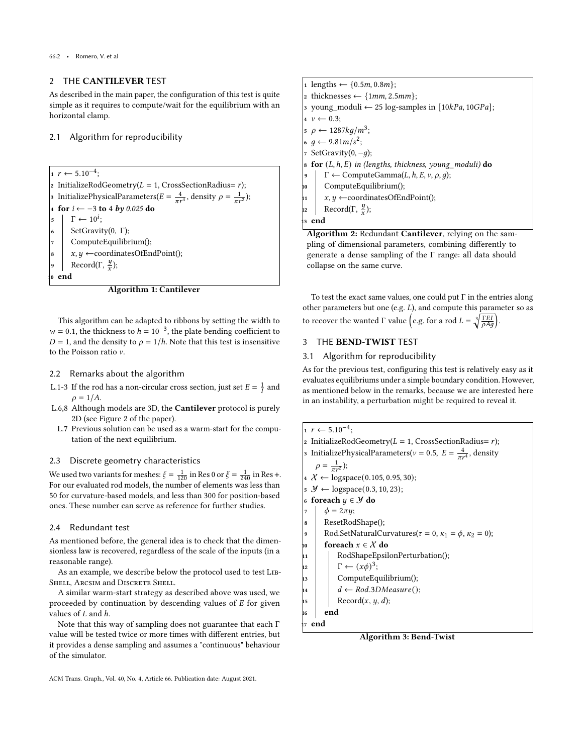## 2 THE CANTILEVER TEST

As described in the main paper, the configuration of this test is quite simple as it requires to compute/wait for the equilibrium with an horizontal clamp.

#### 2.1 Algorithm for reproducibility

 $r \leftarrow 5.10^{-4};$ InitializeRodGeometry( $L = 1$ , CrossSectionRadius= r); 3 InitializePhysicalParameters( $E = \frac{4}{\pi r^4}$ , density  $\rho = \frac{1}{\pi r^2}$ ); for  $i$  ← −3 to 4 by 0.025 do  $\overline{\phantom{0}}$   $\overline{\phantom{0}}$   $\overline{\phantom{0}}$   $\overline{\phantom{0}}$   $\overline{\phantom{0}}$   $\overline{\phantom{0}}$   $\overline{\phantom{0}}$   $\overline{\phantom{0}}$   $\overline{\phantom{0}}$   $\overline{\phantom{0}}$   $\overline{\phantom{0}}$   $\overline{\phantom{0}}$   $\overline{\phantom{0}}$   $\overline{\phantom{0}}$   $\overline{\phantom{0}}$   $\overline{\phantom{0}}$   $\overline{\phantom{0}}$   $\overline{\phantom{0}}$   $\overline{\$ SetGravity(0, Γ); ComputeEquilibrium();  $x, y \leftarrow$ coordinatesOfEndPoint(); 9 Record(Γ,  $\frac{y}{x}$ ); end

Algorithm 1: Cantilever

This algorithm can be adapted to ribbons by setting the width to  $w = 0.1$ , the thickness to  $h = 10^{-3}$ , the plate bending coefficient to  $D = 1$ , and the density to  $\rho = 1/h$ . Note that this test is insensitive to the Poisson ratio  $\nu$ .

#### 2.2 Remarks about the algorithm

- L.1-3 If the rod has a non-circular cross section, just set  $E = \frac{1}{I}$  and  $\rho = 1/A.$
- L.6,8 Although models are 3D, the Cantilever protocol is purely 2D (see Figure 2 of the paper).
- L.7 Previous solution can be used as a warm-start for the computation of the next equilibrium.

#### 2.3 Discrete geometry characteristics

We used two variants for meshes:  $\xi = \frac{1}{120}$  in Res 0 or  $\xi = \frac{1}{240}$  in Res +. For our evaluated rod models, the number of elements was less than 50 for curvature-based models, and less than 300 for position-based ones. These number can serve as reference for further studies.

## 2.4 Redundant test

As mentioned before, the general idea is to check that the dimensionless law is recovered, regardless of the scale of the inputs (in a reasonable range).

As an example, we describe below the protocol used to test Lib-SHELL, ARCSIM and DISCRETE SHELL.

A similar warm-start strategy as described above was used, we proceeded by continuation by descending values of  $E$  for given values of  $L$  and  $h$ .

Note that this way of sampling does not guarantee that each Γ value will be tested twice or more times with different entries, but it provides a dense sampling and assumes a "continuous" behaviour of the simulator.

```
ACM Trans. Graph., Vol. 40, No. 4, Article 66. Publication date: August 2021.
```
1 lengths  $\leftarrow \{0.5m, 0.8m\};$ 2 thicknesses  $\leftarrow$  {1mm, 2.5mm}; 3 young\_moduli ← 25 log-samples in  $[10kPa, 10GPa]$ ;  $4 \nu \leftarrow 0.3$  $5 \rho \leftarrow 1287 \frac{kg}{m^3};$  $6 \, g \leftarrow 9.81 \, m/s^2;$  $SetGravity(0, -q);$ **8 for**  $(L, h, E)$  in (lengths, thickness, young moduli) do  $\Gamma \leftarrow \text{ComputeGamma}(L, h, E, v, \rho, g);$ ComputeEquilibrium();  $x, y \leftarrow$ coordinatesOfEndPoint(); 12 Record(Γ,  $\frac{y}{x}$ ); end Algorithm 2: Redundant Cantilever, relying on the sam-

pling of dimensional parameters, combining differently to generate a dense sampling of the Γ range: all data should collapse on the same curve.

To test the exact same values, one could put  $\Gamma$  in the entries along other parameters but one (e.g.  $L$ ), and compute this parameter so as to recover the wanted  $\Gamma$  value  $\left($ e.g. for a rod  $L = \sqrt[3]{\frac{\Gamma EI}{\rho A a}} \right)$ .

# 3 THE BEND-TWIST TEST

#### 3.1 Algorithm for reproducibility

As for the previous test, configuring this test is relatively easy as it evaluates equilibriums under a simple boundary condition. However, as mentioned below in the remarks, because we are interested here in an instability, a perturbation might be required to reveal it.

```
r \leftarrow 5.10^{-4};2 InitializeRodGeometry(L = 1, CrossSectionRadius= r);
3 InitializePhysicalParameters(v = 0.5, E = \frac{4}{\pi r^4}, density
    \rho = \frac{1}{\pi r^2});4 X ← logspace(0.105, 0.95, 30);
\mathcal{Y} \leftarrow \text{logspace}(0.3, 10, 23);6 foreach y \in \mathcal{Y} do
\tau \phi = 2\pi y;ResetRodShape();
9 Rod.SetNaturalCurvatures(\tau = 0, \kappa_1 = \phi, \kappa_2 = 0);
10 foreach x \in \mathcal{X} do
11 RodShapeEpsilonPerturbation();
\Gamma + (x\phi)^3;
           ComputeEquilibrium();
           d \leftarrow \text{Rod.3}DMeasure();
\mathbf{R} Record(x, y, d);
16 end
  end
```
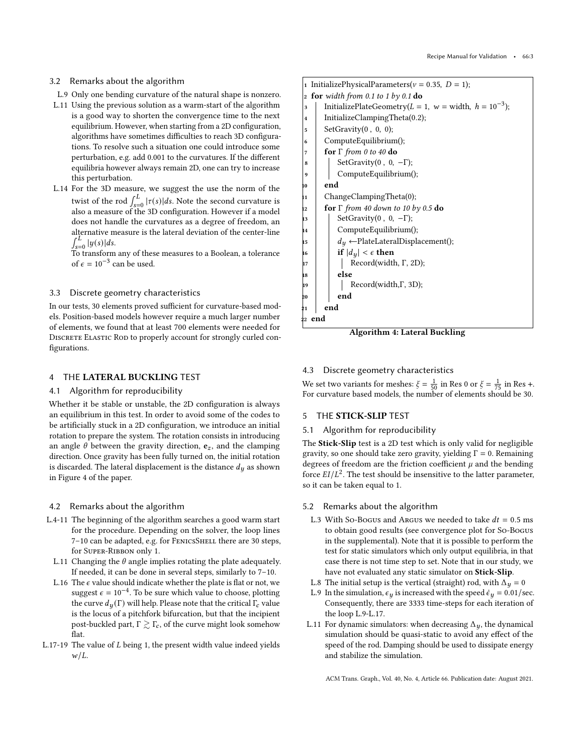## 3.2 Remarks about the algorithm

- L.9 Only one bending curvature of the natural shape is nonzero.
- L.11 Using the previous solution as a warm-start of the algorithm is a good way to shorten the convergence time to the next equilibrium. However, when starting from a 2D configuration, algorithms have sometimes difficulties to reach 3D configurations. To resolve such a situation one could introduce some perturbation, e.g. add 0.001 to the curvatures. If the different equilibria however always remain 2D, one can try to increase this perturbation.
- L.14 For the 3D measure, we suggest the use the norm of the twist of the rod  $\int_{s=0}^{L} |\tau(s)| ds$ . Note the second curvature is also a measure of the 3D configuration. However if a model does not handle the curvatures as a degree of freedom, an alternative measure is the lateral deviation of the center-line  $\int_{s=0}^{L} |y(s)| ds.$

To transform any of these measures to a Boolean, a tolerance of  $\epsilon = 10^{-3}$  can be used.

## 3.3 Discrete geometry characteristics

In our tests, 30 elements proved sufficient for curvature-based models. Position-based models however require a much larger number of elements, we found that at least 700 elements were needed for DISCRETE ELASTIC ROD to properly account for strongly curled configurations.

## 4 THE LATERAL BUCKLING TEST

## 4.1 Algorithm for reproducibility

Whether it be stable or unstable, the 2D configuration is always an equilibrium in this test. In order to avoid some of the codes to be artificially stuck in a 2D configuration, we introduce an initial rotation to prepare the system. The rotation consists in introducing an angle  $\theta$  between the gravity direction,  $e_z$ , and the clamping direction. Once gravity has been fully turned on, the initial rotation is discarded. The lateral displacement is the distance  $d<sub>y</sub>$  as shown in Figure 4 of the paper.

## 4.2 Remarks about the algorithm

- L.4-11 The beginning of the algorithm searches a good warm start for the procedure. Depending on the solver, the loop lines 7-10 can be adapted, e.g. for FENICSSHELL there are 30 steps, for Super-Ribbon only 1.
- L.11 Changing the  $\theta$  angle implies rotating the plate adequately. If needed, it can be done in several steps, similarly to 7–10.
- L.16 The  $\epsilon$  value should indicate whether the plate is flat or not, we suggest  $\epsilon = 10^{-4}$ . To be sure which value to choose, plotting the curve  $d_u(\Gamma)$  will help. Please note that the critical  $\Gamma_c$  value is the locus of a pitchfork bifurcation, but that the incipient post-buckled part,  $\Gamma \gtrsim \Gamma_c$ , of the curve might look somehow flat.
- L.17-19 The value of  $L$  being 1, the present width value indeed yields  $w/L$ .

# InitializePhysicalParameters( $v = 0.35$ ,  $D = 1$ ); 2 for width from 0.1 to 1 by 0.1 do 3 | InitializePlateGeometry( $L = 1$ ,  $w =$  width,  $h = 10^{-3}$ );  $\vert$ 4 | InitializeClampingTheta(0.2);  $\vert$ <sub>5</sub> SetGravity(0, 0, 0); <sup>6</sup> ComputeEquilibrium(); 7 **for**  $\Gamma$  from 0 to 40 do  $\mathbf{8}$  | SetGravity(0, 0, -Γ); <sup>9</sup> ComputeEquilibrium(); 10 **end** 11 ChangeClampingTheta(0);  $\frac{1}{12}$  for  $\Gamma$  from 40 down to 10 by 0.5 do  $\vert$  SetGravity(0, 0, -Γ); <sup>14</sup> ComputeEquilibrium();  $\begin{array}{c|c|c|c} \text{15} & & d_y \leftarrow \text{plateLateralDisplacement();} \end{array}$ if  $|d_u| < \epsilon$  then Record(width, Γ, 2D); else Record(width,Γ, 3D); 20 end end  $22$  end

Algorithm 4: Lateral Buckling

# 4.3 Discrete geometry characteristics

We set two variants for meshes:  $\xi = \frac{1}{50}$  in Res 0 or  $\xi = \frac{1}{75}$  in Res +. For curvature based models, the number of elements should be 30.

# 5 THE STICK-SLIP TEST

# 5.1 Algorithm for reproducibility

The Stick-Slip test is a 2D test which is only valid for negligible gravity, so one should take zero gravity, yielding  $\Gamma = 0$ . Remaining degrees of freedom are the friction coefficient  $\mu$  and the bending force  $EI/L^2$ . The test should be insensitive to the latter parameter, so it can be taken equal to 1.

## 5.2 Remarks about the algorithm

- L.3 With So-Bogus and Argus we needed to take  $dt = 0.5$  ms to obtain good results (see convergence plot for So-Bogus in the supplemental). Note that it is possible to perform the test for static simulators which only output equilibria, in that case there is not time step to set. Note that in our study, we have not evaluated any static simulator on Stick-Slip.
- L.8 The initial setup is the vertical (straight) rod, with  $\Delta_y = 0$
- L.9 In the simulation,  $\epsilon_y$  is increased with the speed  $\dot{\epsilon}_y = 0.01/\text{sec}$ . Consequently, there are 3333 time-steps for each iteration of the loop L.9-L.17.
- L.11 For dynamic simulators: when decreasing  $\Delta_{\boldsymbol{u}}$ , the dynamical simulation should be quasi-static to avoid any effect of the speed of the rod. Damping should be used to dissipate energy and stabilize the simulation.

ACM Trans. Graph., Vol. 40, No. 4, Article 66. Publication date: August 2021.